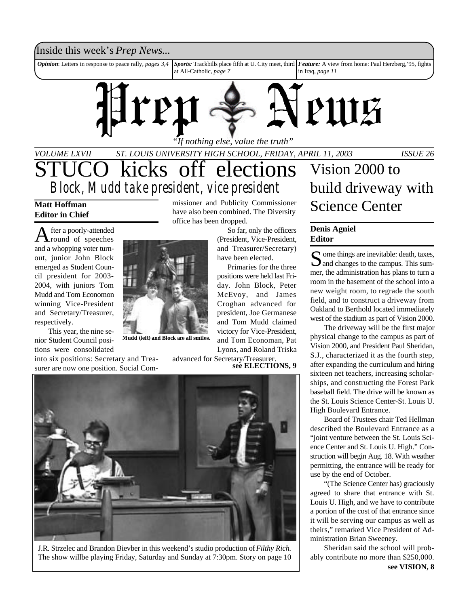# Inside this week's *Prep News*...

*Opinion*: Letters in response to peace rally, *pages* 3,4 at All-Catholic, *page 7* Sports: Trackbills place fifth at U. City meet, third Feature: A view from home: Paul Herzberg,'95, fights in Iraq, *page 11*



*VOLUME LXVII ST. LOUIS UNIVERSITY HIGH SCHOOL, FRIDAY, APRIL 11, 2003 ISSUE 26 "If nothing else, value the truth"* kicks off elections *Block, Mudd take president, vice president*

## **Matt Hoffman Editor in Chief**

A fter a poorly-attended<br>
round of speeches fter a poorly-attended and a whopping voter turnout, junior John Block emerged as Student Council president for 2003- 2004, with juniors Tom Mudd and Tom Economon winning Vice-President and Secretary/Treasurer, respectively.



This year, the nine senior Student Council positions were consolidated **Mudd (left) and Block are all smiles.**

into six positions: Secretary and Treasurer are now one position. Social Commissioner and Publicity Commissioner have also been combined. The Diversity office has been dropped.

So far, only the officers (President, Vice-President, and Treasurer/Secretary) have been elected.

Primaries for the three positions were held last Friday. John Block, Peter McEvoy, and James Croghan advanced for president, Joe Germanese and Tom Mudd claimed victory for Vice-President, and Tom Economan, Pat Lyons, and Roland Triska

advanced for Secretary/Treasurer. **see ELECTIONS, 9**



J.R. Strzelec and Brandon Bievber in this weekend's studio production of *Filthy Rich.* The show willbe playing Friday, Saturday and Sunday at 7:30pm. Story on page 10

# Vision 2000 to build driveway with Science Center

## **Denis Agniel Editor**

S ome things are inevitable: death, taxes,<br>and changes to the campus. This sum- $\mathbf{\Sigma}$  ome things are inevitable: death, taxes, mer, the administration has plans to turn a room in the basement of the school into a new weight room, to regrade the south field, and to construct a driveway from Oakland to Berthold located immediately west of the stadium as part of Vision 2000.

The driveway will be the first major physical change to the campus as part of Vision 2000, and President Paul Sheridan, S.J., characterized it as the fourth step, after expanding the curriculum and hiring sixteen net teachers, increasing scholarships, and constructing the Forest Park baseball field. The drive will be known as the St. Louis Science Center-St. Louis U. High Boulevard Entrance.

Board of Trustees chair Ted Hellman described the Boulevard Entrance as a "joint venture between the St. Louis Science Center and St. Louis U. High." Construction will begin Aug. 18. With weather permitting, the entrance will be ready for use by the end of October.

"(The Science Center has) graciously agreed to share that entrance with St. Louis U. High, and we have to contribute a portion of the cost of that entrance since it will be serving our campus as well as theirs," remarked Vice President of Administration Brian Sweeney.

Sheridan said the school will probably contribute no more than \$250,000. **see VISION, 8**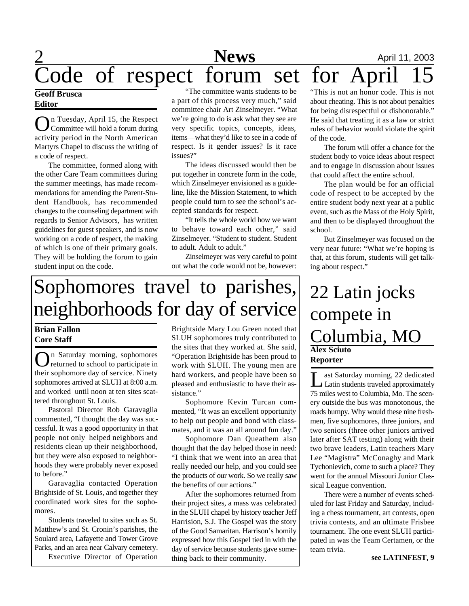# **News** April 11, 2003 Code of respect forum set for April 15

## **Geoff Brusca Editor**

O n Tuesday, April 15, the Respect Committee will hold a forum during activity period in the North American Martyrs Chapel to discuss the writing of a code of respect.

The committee, formed along with the other Care Team committees during the summer meetings, has made recommendations for amending the Parent-Student Handbook, has recommended changes to the counseling department with regards to Senior Advisors, has written guidelines for guest speakers, and is now working on a code of respect, the making of which is one of their primary goals. They will be holding the forum to gain student input on the code.

"The committee wants students to be a part of this process very much," said committee chair Art Zinselmeyer. "What we're going to do is ask what they see are very specific topics, concepts, ideas, items—what they'd like to see in a code of respect. Is it gender issues? Is it race issues?"

The ideas discussed would then be put together in concrete form in the code, which Zinselmeyer envisioned as a guideline, like the Mission Statement, to which people could turn to see the school's accepted standards for respect.

"It tells the whole world how we want to behave toward each other," said Zinselmeyer. "Student to student. Student to adult. Adult to adult."

Zinselmeyer was very careful to point out what the code would not be, however:

# Sophomores travel to parishes, neighborhoods for day of service

# **Brian Fallon Core Staff**

On Saturday morning, sophomores n Saturday morning, sophomores their sophomore day of service. Ninety sophomores arrived at SLUH at 8:00 a.m. and worked until noon at ten sites scattered throughout St. Louis.

Pastoral Director Rob Garavaglia commented, "I thought the day was successful. It was a good opportunity in that people not only helped neighbors and residents clean up their neighborhood, but they were also exposed to neighborhoods they were probably never exposed to before."

Garavaglia contacted Operation Brightside of St. Louis, and together they coordinated work sites for the sophomores.

Students traveled to sites such as St. Matthew's and St. Cronin's parishes, the Soulard area, Lafayette and Tower Grove Parks, and an area near Calvary cemetery. Executive Director of Operation

Brightside Mary Lou Green noted that SLUH sophomores truly contributed to the sites that they worked at. She said, "Operation Brightside has been proud to work with SLUH. The young men are hard workers, and people have been so pleased and enthusiastic to have their assistance."

Sophomore Kevin Turcan commented, "It was an excellent opportunity to help out people and bond with classmates, and it was an all around fun day."

Sophomore Dan Queathem also thought that the day helped those in need: "I think that we went into an area that really needed our help, and you could see the products of our work. So we really saw the benefits of our actions."

After the sophomores returned from their project sites, a mass was celebrated in the SLUH chapel by history teacher Jeff Harrision, S.J. The Gospel was the story of the Good Samaritan. Harrison's homily expressed how this Gospel tied in with the day of service because students gave something back to their community.

"This is not an honor code. This is not about cheating. This is not about penalties for being disrespectful or dishonorable." He said that treating it as a law or strict rules of behavior would violate the spirit of the code.

The forum will offer a chance for the student body to voice ideas about respect and to engage in discussion about issues that could affect the entire school.

The plan would be for an official code of respect to be accepted by the entire student body next year at a public event, such as the Mass of the Holy Spirit, and then to be displayed throughout the school.

But Zinselmeyer was focused on the very near future: "What we're hoping is that, at this forum, students will get talking about respect."

# **Alex Sciuto Reporter** 22 Latin jocks compete in Columbia, MO

**L** ast Saturday morning, 22 dedicated<br>Latin students traveled approximately ast Saturday morning, 22 dedicated 75 miles west to Columbia, Mo. The scenery outside the bus was monotonous, the roads bumpy. Why would these nine freshmen, five sophomores, three juniors, and two seniors (three other juniors arrived later after SAT testing) along with their two brave leaders, Latin teachers Mary Lee "Magistra" McConaghy and Mark Tychonievich, come to such a place? They went for the annual Missouri Junior Classical League convention.

There were a number of events scheduled for last Friday and Saturday, including a chess tournament, art contests, open trivia contests, and an ultimate Frisbee tournament. The one event SLUH participated in was the Team Certamen, or the team trivia.

**see LATINFEST, 9**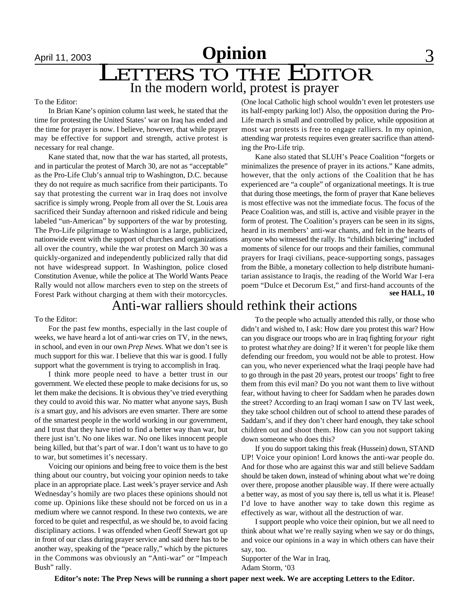# April 11, 2003 **Opinion** 3 LETTERS TO THE EDITOR In the modern world, protest is prayer

### To the Editor:

In Brian Kane's opinion column last week, he stated that the time for protesting the United States' war on Iraq has ended and the time for prayer is now. I believe, however, that while prayer may be effective for support and strength, active protest is necessary for real change.

Kane stated that, now that the war has started, all protests, and in particular the protest of March 30, are not as "acceptable" as the Pro-Life Club's annual trip to Washington, D.C. because they do not require as much sacrifice from their participants. To say that protesting the current war in Iraq does not involve sacrifice is simply wrong. People from all over the St. Louis area sacrificed their Sunday afternoon and risked ridicule and being labeled "un-American" by supporters of the war by protesting. The Pro-Life pilgrimage to Washington is a large, publicized, nationwide event with the support of churches and organizations all over the country, while the war protest on March 30 was a quickly-organized and independently publicized rally that did not have widespread support. In Washington, police closed Constitution Avenue, while the police at The World Wants Peace Rally would not allow marchers even to step on the streets of Forest Park without charging at them with their motorcycles.

(One local Catholic high school wouldn't even let protesters use its half-empty parking lot!) Also, the opposition during the Pro-Life march is small and controlled by police, while opposition at most war protests is free to engage ralliers. In my opinion, attending war protests requires even greater sacrifice than attending the Pro-Life trip.

Kane also stated that SLUH's Peace Coalition "forgets or minimalizes the presence of prayer in its actions." Kane admits, however, that the only actions of the Coalition that he has experienced are "a couple" of organizational meetings. It is true that during those meetings, the form of prayer that Kane believes is most effective was not the immediate focus. The focus of the Peace Coalition was, and still is, active and visible prayer in the form of protest. The Coalition's prayers can be seen in its signs, heard in its members' anti-war chants, and felt in the hearts of anyone who witnessed the rally. Its "childish bickering" included moments of silence for our troops and their families, communal prayers for Iraqi civilians, peace-supporting songs, passages from the Bible, a monetary collection to help distribute humanitarian assistance to Iraqis, the reading of the World War I-era poem "Dulce et Decorum Est," and first-hand accounts of the **see HALL, 10**

# Anti-war ralliers should rethink their actions

### To the Editor:

For the past few months, especially in the last couple of weeks, we have heard a lot of anti-war cries on TV, in the news, in school, and even in our own *Prep News*. What we don't see is much support for this war. I believe that this war is good. I fully support what the government is trying to accomplish in Iraq.

I think more people need to have a better trust in our government. We elected these people to make decisions for us, so let them make the decisions. It is obvious they've tried everything they could to avoid this war. No matter what anyone says, Bush *is* a smart guy, and his advisors are even smarter. There are some of the smartest people in the world working in our government, and I trust that they have tried to find a better way than war, but there just isn't. No one likes war. No one likes innocent people being killed, but that's part of war. I don't want us to have to go to war, but sometimes it's necessary.

Voicing our opinions and being free to voice them is the best thing about our country, but voicing your opinion needs to take place in an appropriate place. Last week's prayer service and Ash Wednesday's homily are two places these opinions should not come up. Opinions like these should not be forced on us in a medium where we cannot respond. In these two contexts, we are forced to be quiet and respectful, as we should be, to avoid facing disciplinary actions. I was offended when Geoff Stewart got up in front of our class during prayer service and said there has to be another way, speaking of the "peace rally," which by the pictures in the Commons was obviously an "Anti-war" or "Impeach Bush" rally.

To the people who actually attended this rally, or those who didn't and wished to, I ask: How dare you protest this war? How can you disgrace our troops who are in Iraq fighting for *your* right to protest what *they* are doing? If it weren't for people like them defending our freedom, you would not be able to protest. How can you, who never experienced what the Iraqi people have had to go through in the past 20 years, protest our troops' fight to free them from this evil man? Do you not want them to live without fear, without having to cheer for Saddam when he parades down the street? According to an Iraqi woman I saw on TV last week, they take school children out of school to attend these parades of Saddam's, and if they don't cheer hard enough, they take school children out and shoot them. How can you not support taking down someone who does this?

If you do support taking this freak (Hussein) down, STAND UP! Voice your opinion! Lord knows the anti-war people do. And for those who are against this war and still believe Saddam should be taken down, instead of whining about what we're doing over there, propose another plausible way. If there were actually a better way, as most of you say there is, tell us what it is. Please! I'd love to have another way to take down this regime as effectively as war, without all the destruction of war.

I support people who voice their opinion, but we all need to think about what we're really saying when we say or do things, and voice our opinions in a way in which others can have their say, too.

Supporter of the War in Iraq, Adam Storm, '03

**Editor's note: The Prep News will be running a short paper next week. We are accepting Letters to the Editor.**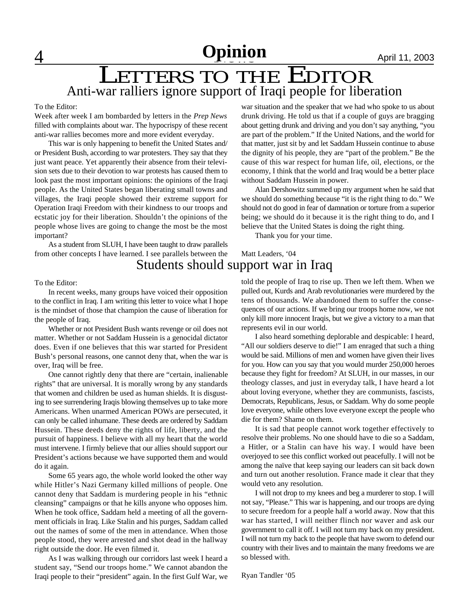# **A** 11, 2003

# Anti-war ralliers ignore support of Iraqi people for liberation LETTERS TO THE EDITOR

### To the Editor:

Week after week I am bombarded by letters in the *Prep News* filled with complaints about war. The hypocrispy of these recent anti-war rallies becomes more and more evident everyday.

This war is only happening to benefit the United States and/ or President Bush, according to war protesters. They say that they just want peace. Yet apparently their absence from their television sets due to their devotion to war protests has caused them to look past the most important opinions: the opinions of the Iraqi people. As the United States began liberating small towns and villages, the Iraqi people showed their extreme support for Operation Iraqi Freedom with their kindness to our troops and ecstatic joy for their liberation. Shouldn't the opinions of the people whose lives are going to change the most be the most important?

As a student from SLUH, I have been taught to draw parallels from other concepts I have learned. I see parallels between the war situation and the speaker that we had who spoke to us about drunk driving. He told us that if a couple of guys are bragging about getting drunk and driving and you don't say anything, "you are part of the problem." If the United Nations, and the world for that matter, just sit by and let Saddam Hussein continue to abuse the dignity of his people, they are "part of the problem." Be the cause of this war respect for human life, oil, elections, or the economy, I think that the world and Iraq would be a better place without Saddam Hussein in power.

Alan Dershowitz summed up my argument when he said that we should do something because "it is the right thing to do." We should not do good in fear of damnation or torture from a superior being; we should do it because it is the right thing to do, and I believe that the United States is doing the right thing.

Thank you for your time.

# Matt Leaders, '04 Students should support war in Iraq

### To the Editor:

In recent weeks, many groups have voiced their opposition to the conflict in Iraq. I am writing this letter to voice what I hope is the mindset of those that champion the cause of liberation for the people of Iraq.

Whether or not President Bush wants revenge or oil does not matter. Whether or not Saddam Hussein is a genocidal dictator does. Even if one believes that this war started for President Bush's personal reasons, one cannot deny that, when the war is over, Iraq will be free.

One cannot rightly deny that there are "certain, inalienable rights" that are universal. It is morally wrong by any standards that women and children be used as human shields. It is disgusting to see surrendering Iraqis blowing themselves up to take more Americans. When unarmed American POWs are persecuted, it can only be called inhumane. These deeds are ordered by Saddam Hussein. These deeds deny the rights of life, liberty, and the pursuit of happiness. I believe with all my heart that the world must intervene. I firmly believe that our allies should support our President's actions because we have supported them and would do it again.

Some 65 years ago, the whole world looked the other way while Hitler's Nazi Germany killed millions of people. One cannot deny that Saddam is murdering people in his "ethnic cleansing" campaigns or that he kills anyone who opposes him. When he took office, Saddam held a meeting of all the government officials in Iraq. Like Stalin and his purges, Saddam called out the names of some of the men in attendance. When those people stood, they were arrested and shot dead in the hallway right outside the door. He even filmed it.

As I was walking through our corridors last week I heard a student say, "Send our troops home." We cannot abandon the Iraqi people to their "president" again. In the first Gulf War, we

told the people of Iraq to rise up. Then we left them. When we pulled out, Kurds and Arab revolutionaries were murdered by the tens of thousands. We abandoned them to suffer the consequences of our actions. If we bring our troops home now, we not only kill more innocent Iraqis, but we give a victory to a man that represents evil in our world.

I also heard something deplorable and despicable: I heard, "All our soldiers deserve to die!" I am enraged that such a thing would be said. Millions of men and women have given their lives for you. How can you say that you would murder 250,000 heroes because they fight for freedom? At SLUH, in our masses, in our theology classes, and just in everyday talk, I have heard a lot about loving everyone, whether they are communists, fascists, Democrats, Republicans, Jesus, or Saddam. Why do some people love everyone, while others love everyone except the people who die for them? Shame on them.

It is sad that people cannot work together effectively to resolve their problems. No one should have to die so a Saddam, a Hitler, or a Stalin can have his way. I would have been overjoyed to see this conflict worked out peacefully. I will not be among the naïve that keep saying our leaders can sit back down and turn out another resolution. France made it clear that they would veto any resolution.

I will not drop to my knees and beg a murderer to stop. I will not say, "Please." This war is happening, and our troops are dying to secure freedom for a people half a world away. Now that this war has started, I will neither flinch nor waver and ask our government to call it off. I will not turn my back on my president. I will not turn my back to the people that have sworn to defend our country with their lives and to maintain the many freedoms we are so blessed with.

Ryan Tandler '05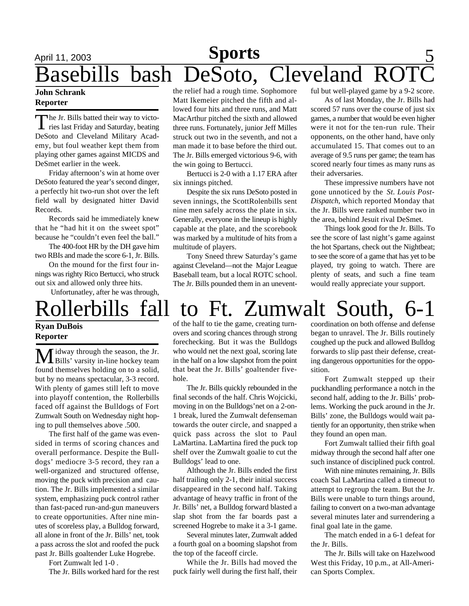# April 11, 2003 **Sports** 5 Basebills bash DeSoto, Cleveland Ro

## **John Schrank Reporter**

The Jr. Bills batted their way to victo-<br>ries last Friday and Saturday, beating he Jr. Bills batted their way to victo-DeSoto and Cleveland Military Academy, but foul weather kept them from playing other games against MICDS and DeSmet earlier in the week.

Friday afternoon's win at home over DeSoto featured the year's second dinger, a perfectly hit two-run shot over the left field wall by designated hitter David Records.

Records said he immediately knew that he "had hit it on the sweet spot" because he "couldn't even feel the ball."

The 400-foot HR by the DH gave him two RBIs and made the score 6-1, Jr. Bills.

On the mound for the first four innings was righty Rico Bertucci, who struck out six and allowed only three hits.

Unfortunatley, after he was through,

the relief had a rough time. Sophomore Matt Ikemeier pitched the fifth and allowed four hits and three runs, and Matt MacArthur pitched the sixth and allowed three runs. Fortunately, junior Jeff Milles struck out two in the seventh, and not a man made it to base before the third out. The Jr. Bills emerged victorious 9-6, with the win going to Bertucci.

Bertucci is 2-0 with a 1.17 ERA after six innings pitched.

Despite the six runs DeSoto posted in seven innings, the ScottRolenbills sent nine men safely across the plate in six. Generally, everyone in the lineup is highly capable at the plate, and the scorebook was marked by a multitude of hits from a multitude of players.

Tony Sneed threw Saturday's game against Cleveland—not the Major League Baseball team, but a local ROTC school. The Jr. Bills pounded them in an uneventful but well-played game by a 9-2 score.

As of last Monday, the Jr. Bills had scored 57 runs over the course of just six games, a number that would be even higher were it not for the ten-run rule. Their opponents, on the other hand, have only accumulated 15. That comes out to an average of 9.5 runs per game; the team has scored nearly four times as many runs as their adversaries.

These impressive numbers have not gone unnoticed by the *St. Louis Post-Dispatch*, which reported Monday that the Jr. Bills were ranked number two in the area, behind Jesuit rival DeSmet.

Things look good for the Jr. Bills. To see the score of last night's game against the hot Spartans, check out the Nightbeat; to see the score of a game that has yet to be played, try going to watch. There are plenty of seats, and such a fine team would really appreciate your support.

# Rollerbills fall to Ft. Zumwalt South, 6-1

## **Ryan DuBois Reporter**

**M** idway through the season, the Jr.<br>Bills' varsity in-line hockey team found themselves holding on to a solid, but by no means spectacular, 3-3 record. With plenty of games still left to move into playoff contention, the Rollerbills faced off against the Bulldogs of Fort Zumwalt South on Wednesday night hoping to pull themselves above .500.

The first half of the game was evensided in terms of scoring chances and overall performance. Despite the Bulldogs' mediocre 3-5 record, they ran a well-organized and structured offense, moving the puck with precision and caution. The Jr. Bills implemented a similar system, emphasizing puck control rather than fast-paced run-and-gun maneuvers to create opportunities. After nine minutes of scoreless play, a Bulldog forward, all alone in front of the Jr. Bills' net, took a pass across the slot and roofed the puck past Jr. Bills goaltender Luke Hogrebe.

Fort Zumwalt led 1-0 .

The Jr. Bills worked hard for the rest

of the half to tie the game, creating turnovers and scoring chances through strong forechecking. But it was the Bulldogs who would net the next goal, scoring late in the half on a low slapshot from the point that beat the Jr. Bills' goaltender fivehole.

The Jr. Bills quickly rebounded in the final seconds of the half. Chris Wojcicki, moving in on the Bulldogs'net on a 2-on-1 break, lured the Zumwalt defenseman towards the outer circle, and snapped a quick pass across the slot to Paul LaMartina. LaMartina fired the puck top shelf over the Zumwalt goalie to cut the Bulldogs' lead to one.

Although the Jr. Bills ended the first half trailing only 2-1, their initial success disappeared in the second half. Taking advantage of heavy traffic in front of the Jr. Bills' net, a Bulldog forward blasted a slap shot from the far boards past a screened Hogrebe to make it a 3-1 game.

Several minutes later, Zumwalt added a fourth goal on a booming slapshot from the top of the faceoff circle.

While the Jr. Bills had moved the puck fairly well during the first half, their coordination on both offense and defense began to unravel. The Jr. Bills routinely coughed up the puck and allowed Bulldog forwards to slip past their defense, creating dangerous opportunities for the opposition.

Fort Zumwalt stepped up their puckhandling performance a notch in the second half, adding to the Jr. Bills' problems. Working the puck around in the Jr. Bills' zone, the Bulldogs would wait patiently for an opportunity, then strike when they found an open man.

Fort Zumwalt tallied their fifth goal midway through the second half after one such instance of disciplined puck control.

With nine minutes remaining, Jr. Bills coach Sal LaMartina called a timeout to attempt to regroup the team. But the Jr. Bills were unable to turn things around, failing to convert on a two-man advantage several minutes later and surrendering a final goal late in the game.

The match ended in a 6-1 defeat for the Jr. Bills.

The Jr. Bills will take on Hazelwood West this Friday, 10 p.m., at All-American Sports Complex.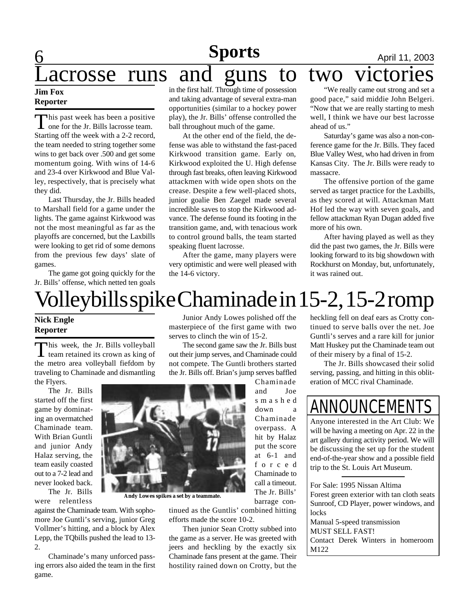# **6** 9 11, 2003 **Sports**

# acrosse runs and guns to two victories

## **Jim Fox Reporter**

This past week has been a positive<br>one for the Jr. Bills lacrosse team. his past week has been a positive Starting off the week with a 2-2 record, the team needed to string together some wins to get back over .500 and get some momentum going. With wins of 14-6 and 23-4 over Kirkwood and Blue Valley, respectively, that is precisely what they did.

Last Thursday, the Jr. Bills headed to Marshall field for a game under the lights. The game against Kirkwood was not the most meaningful as far as the playoffs are concerned, but the Laxbills were looking to get rid of some demons from the previous few days' slate of games.

The game got going quickly for the Jr. Bills' offense, which netted ten goals

in the first half. Through time of possession and taking advantage of several extra-man opportunities (similar to a hockey power play), the Jr. Bills' offense controlled the ball throughout much of the game.

At the other end of the field, the defense was able to withstand the fast-paced Kirkwood transition game. Early on, Kirkwood exploited the U. High defense through fast breaks, often leaving Kirkwood attackmen with wide open shots on the crease. Despite a few well-placed shots, junior goalie Ben Zaegel made several incredible saves to stop the Kirkwood advance. The defense found its footing in the transition game, and, with tenacious work to control ground balls, the team started speaking fluent lacrosse.

After the game, many players were very optimistic and were well pleased with the 14-6 victory.

# "We really came out strong and set a good pace," said middie John Belgeri. "Now that we are really starting to mesh

well, I think we have our best lacrosse ahead of us."

Saturday's game was also a non-conference game for the Jr. Bills. They faced Blue Valley West, who had driven in from Kansas City. The Jr. Bills were ready to massacre.

The offensive portion of the game served as target practice for the Laxbills, as they scored at will. Attackman Matt Hof led the way with seven goals, and fellow attackman Ryan Dugan added five more of his own.

After having played as well as they did the past two games, the Jr. Bills were looking forward to its big showdown with Rockhurst on Monday, but, unfortunately, it was rained out.

# Volleybills spike Chaminade in 15-2, 15-2 romp

## **Nick Engle Reporter**

This week, the Jr. Bills volleyball<br>team retained its crown as king of This week, the Jr. Bills volleyball the metro area volleyball fiefdom by traveling to Chaminade and dismantling the Flyers.

The Jr. Bills started off the first game by dominating an overmatched Chaminade team. With Brian Guntli and junior Andy Halaz serving, the team easily coasted out to a 7-2 lead and never looked back.

The Jr. Bills were relentless

against the Chaminade team. With sophomore Joe Guntli's serving, junior Greg Vollmer's hitting, and a block by Alex Lepp, the TQbills pushed the lead to 13- 2.

Chaminade's many unforced passing errors also aided the team in the first game.

Junior Andy Lowes polished off the masterpiece of the first game with two serves to clinch the win of 15-2.

The second game saw the Jr. Bills bust out their jump serves, and Chaminade could not compete. The Guntli brothers started the Jr. Bills off. Brian's jump serves baffled

Chaminade and Joe s m a s h e d down a Chaminade overpass. A hit by Halaz put the score at 6-1 and f o r c e d Chaminade to call a timeout. The Jr. Bills' barrage con-

tinued as the Guntlis' combined hitting

Then junior Sean Crotty subbed into the game as a server. He was greeted with jeers and heckling by the exactly six Chaminade fans present at the game. Their hostility rained down on Crotty, but the

efforts made the score 10-2.

heckling fell on deaf ears as Crotty continued to serve balls over the net. Joe Guntli's serves and a rare kill for junior Matt Huskey put the Chaminade team out of their misery by a final of 15-2.

The Jr. Bills showcased their solid serving, passing, and hitting in this obliteration of MCC rival Chaminade.

# ANNOUNCEMEI

Anyone interested in the Art Club: We will be having a meeting on Apr. 22 in the art gallery during activity period. We will be discussing the set up for the student end-of-the-year show and a possible field trip to the St. Louis Art Museum.

For Sale: 1995 Nissan Altima Forest green exterior with tan cloth seats Sunroof, CD Player, power windows, and locks Manual 5-speed transmission MUST SELL FAST! Contact Derek Winters in homeroom M122

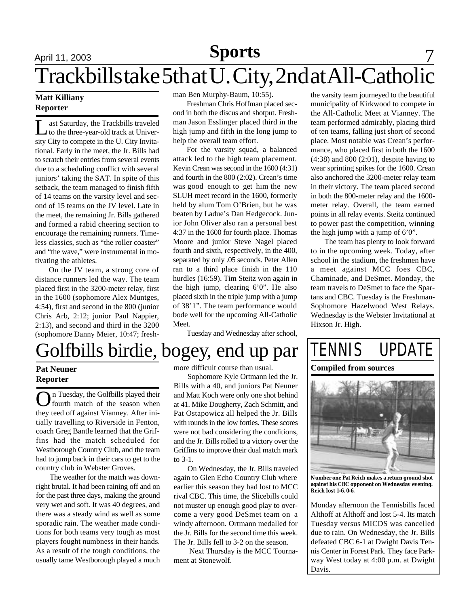# April 11, 2003 **News** 11, 2003 Trackbills take 5th at U. City, 2nd at All-Catholic **Sports**

## **Matt Killiany Reporter**

L ast Saturday, the Trackbills traveled to the three-year-old track at University City to compete in the U. City Invitational. Early in the meet, the Jr. Bills had to scratch their entries from several events due to a scheduling conflict with several juniors' taking the SAT. In spite of this setback, the team managed to finish fifth of 14 teams on the varsity level and second of 15 teams on the JV level. Late in the meet, the remaining Jr. Bills gathered and formed a rabid cheering section to encourage the remaining runners. Timeless classics, such as "the roller coaster" and "the wave," were instrumental in motivating the athletes.

On the JV team, a strong core of distance runners led the way. The team placed first in the 3200-meter relay, first in the 1600 (sophomore Alex Muntges, 4:54), first and second in the 800 (junior Chris Arb, 2:12; junior Paul Nappier, 2:13), and second and third in the 3200 (sophomore Danny Meier, 10:47; fresh-

# Golfbills birdie, bogey, end up par

## **Pat Neuner Reporter**

**O**n Tuesday, the Golfbills played their<br>they teed off against Vianney. After inin Tuesday, the Golfbills played their fourth match of the season when tially travelling to Riverside in Fenton, coach Greg Bantle learned that the Griffins had the match scheduled for Westborough Country Club, and the team had to jump back in their cars to get to the country club in Webster Groves.

The weather for the match was downright brutal. It had been raining off and on for the past three days, making the ground very wet and soft. It was 40 degrees, and there was a steady wind as well as some sporadic rain. The weather made conditions for both teams very tough as most players fought numbness in their hands. As a result of the tough conditions, the usually tame Westborough played a much man Ben Murphy-Baum, 10:55).

Freshman Chris Hoffman placed second in both the discus and shotput. Freshman Jason Esslinger placed third in the high jump and fifth in the long jump to help the overall team effort.

For the varsity squad, a balanced attack led to the high team placement. Kevin Crean was second in the 1600 (4:31) and fourth in the 800 (2:02). Crean's time was good enough to get him the new SLUH meet record in the 1600, formerly held by alum Tom O'Brien, but he was beaten by Ladue's Dan Hedgecock. Junior John Oliver also ran a personal best 4:37 in the 1600 for fourth place. Thomas Moore and junior Steve Nagel placed fourth and sixth, respectively, in the 400, separated by only .05 seconds. Peter Allen ran to a third place finish in the 110 hurdles (16:59). Tim Steitz won again in the high jump, clearing 6'0". He also placed sixth in the triple jump with a jump of 38'1". The team performance would bode well for the upcoming All-Catholic Meet.

Tuesday and Wednesday after school,

more difficult course than usual.

Sophomore Kyle Ortmann led the Jr. Bills with a 40, and juniors Pat Neuner and Matt Koch were only one shot behind at 41. Mike Dougherty, Zach Schmitt, and Pat Ostapowicz all helped the Jr. Bills with rounds in the low forties. These scores were not bad considering the conditions, and the Jr. Bills rolled to a victory over the Griffins to improve their dual match mark to 3-1.

On Wednesday, the Jr. Bills traveled again to Glen Echo Country Club where earlier this season they had lost to MCC rival CBC. This time, the Slicebills could not muster up enough good play to overcome a very good DeSmet team on a windy afternoon. Ortmann medalled for the Jr. Bills for the second time this week. The Jr. Bills fell to 3-2 on the season.

 Next Thursday is the MCC Tournament at Stonewolf.

the varsity team journeyed to the beautiful municipality of Kirkwood to compete in the All-Catholic Meet at Vianney. The team performed admirably, placing third of ten teams, falling just short of second place. Most notable was Crean's performance, who placed first in both the 1600 (4:38) and 800 (2:01), despite having to wear sprinting spikes for the 1600. Crean also anchored the 3200-meter relay team in their victory. The team placed second in both the 800-meter relay and the 1600 meter relay. Overall, the team earned points in all relay events. Steitz continued to power past the competition, winning the high jump with a jump of  $6'0$ ".

The team has plenty to look forward to in the upcoming week. Today, after school in the stadium, the freshmen have a meet against MCC foes CBC, Chaminade, and DeSmet. Monday, the team travels to DeSmet to face the Spartans and CBC. Tuesday is the Freshman-Sophomore Hazelwood West Relays. Wednesday is the Webster Invitational at Hixson Jr. High.

TENNIS UPDATE



**Number one Pat Reich makes a return ground shot against his CBC opponent on Wednesday evening. Reich lost 1-6, 0-6.**

Monday afternoon the Tennisbills faced Althoff at Althoff and lost 5-4. Its match Tuesday versus MICDS was cancelled due to rain. On Wednesday, the Jr. Bills defeated CBC 6-1 at Dwight Davis Tennis Center in Forest Park. They face Parkway West today at 4:00 p.m. at Dwight Davis.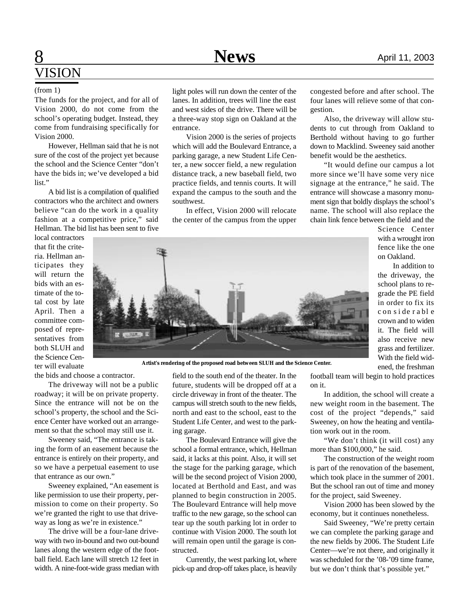# **8** April 11, 2003 VISION

The funds for the project, and for all of Vision 2000, do not come from the school's operating budget. Instead, they come from fundraising specifically for Vision 2000.

However, Hellman said that he is not sure of the cost of the project yet because the school and the Science Center "don't have the bids in; we've developed a bid list."

A bid list is a compilation of qualified contractors who the architect and owners believe "can do the work in a quality fashion at a competitive price," said Hellman. The bid list has been sent to five

local contractors that fit the criteria. Hellman anticipates they will return the bids with an estimate of the total cost by late April. Then a committee composed of representatives from both SLUH and the Science Center will evaluate the bids and choose a contractor.

The driveway will not be a public roadway; it will be on private property.

Since the entrance will not be on the school's property, the school and the Science Center have worked out an arrangement so that the school may still use it.

Sweeney said, "The entrance is taking the form of an easement because the entrance is entirely on their property, and so we have a perpetual easement to use that entrance as our own."

Sweeney explained, "An easement is like permission to use their property, permission to come on their property. So we're granted the right to use that driveway as long as we're in existence."

The drive will be a four-lane driveway with two in-bound and two out-bound lanes along the western edge of the football field. Each lane will stretch 12 feet in width. A nine-foot-wide grass median with

(from 1) light poles will run down the center of the lanes. In addition, trees will line the east and west sides of the drive. There will be a three-way stop sign on Oakland at the entrance.

> Vision 2000 is the series of projects which will add the Boulevard Entrance, a parking garage, a new Student Life Center, a new soccer field, a new regulation distance track, a new baseball field, two practice fields, and tennis courts. It will expand the campus to the south and the southwest.

> In effect, Vision 2000 will relocate the center of the campus from the upper

congested before and after school. The four lanes will relieve some of that congestion.

Also, the driveway will allow students to cut through from Oakland to Berthold without having to go further down to Macklind. Sweeney said another benefit would be the aesthetics.

"It would define our campus a lot more since we'll have some very nice signage at the entrance," he said. The entrance will showcase a masonry monument sign that boldly displays the school's name. The school will also replace the chain link fence between the field and the

Science Center with a wrought iron fence like the one on Oakland.

In addition to the driveway, the school plans to regrade the PE field in order to fix its c on s i de r a bl e crown and to widen it. The field will also receive new grass and fertilizer. With the field widened, the freshman

**Artist's rendering of the proposed road between SLUH and the Science Center.**

field to the south end of the theater. In the future, students will be dropped off at a circle driveway in front of the theater. The campus will stretch south to the new fields, north and east to the school, east to the Student Life Center, and west to the parking garage.

The Boulevard Entrance will give the school a formal entrance, which, Hellman said, it lacks at this point. Also, it will set the stage for the parking garage, which will be the second project of Vision 2000, located at Berthold and East, and was planned to begin construction in 2005. The Boulevard Entrance will help move traffic to the new garage, so the school can tear up the south parking lot in order to continue with Vision 2000. The south lot will remain open until the garage is constructed.

Currently, the west parking lot, where pick-up and drop-off takes place, is heavily

football team will begin to hold practices on it.

In addition, the school will create a new weight room in the basement. The cost of the project "depends," said Sweeney, on how the heating and ventilation work out in the room.

"We don't think (it will cost) any more than \$100,000," he said.

The construction of the weight room is part of the renovation of the basement, which took place in the summer of 2001. But the school ran out of time and money for the project, said Sweeney.

Vision 2000 has been slowed by the economy, but it continues nonetheless.

Said Sweeney, "We're pretty certain we can complete the parking garage and the new fields by 2006. The Student Life Center—we're not there, and originally it was scheduled for the '08-'09 time frame, but we don't think that's possible yet."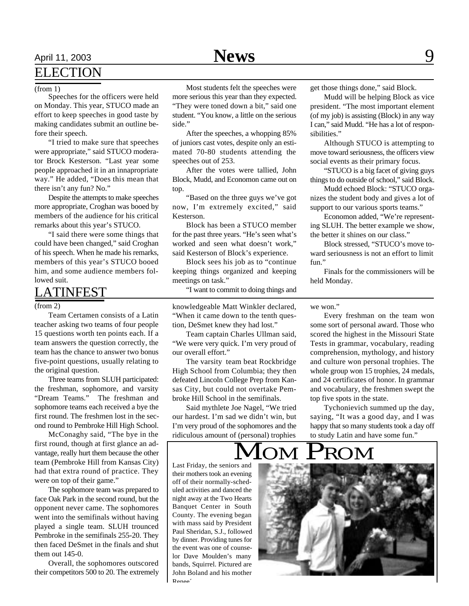# April 11, 2003 **News** 9

# ELECTION

### (from 1)

Speeches for the officers were held on Monday. This year, STUCO made an effort to keep speeches in good taste by making candidates submit an outline before their speech.

"I tried to make sure that speeches were appropriate," said STUCO moderator Brock Kesterson. "Last year some people approached it in an innapropriate way." He added, "Does this mean that there isn't any fun? No."

Despite the attempts to make speeches more appropriate, Croghan was booed by members of the audience for his critical remarks about this year's STUCO.

"I said there were some things that could have been changed," said Croghan of his speech. When he made his remarks, members of this year's STUCO booed him, and some audience members followed suit.

# LATINFEST

### (from 2)

Team Certamen consists of a Latin teacher asking two teams of four people 15 questions worth ten points each. If a team answers the question correctly, the team has the chance to answer two bonus five-point questions, usually relating to the original question.

Three teams from SLUH participated: the freshman, sophomore, and varsity "Dream Teams." The freshman and sophomore teams each received a bye the first round. The freshmen lost in the second round to Pembroke Hill High School.

McConaghy said, "The bye in the first round, though at first glance an advantage, really hurt them because the other team (Pembroke Hill from Kansas City) had that extra round of practice. They were on top of their game."

The sophomore team was prepared to face Oak Park in the second round, but the opponent never came. The sophomores went into the semifinals without having played a single team. SLUH trounced Pembroke in the semifinals 255-20. They then faced DeSmet in the finals and shut them out 145-0.

Overall, the sophomores outscored their competitors 500 to 20. The extremely

Most students felt the speeches were more serious this year than they expected. "They were toned down a bit," said one student. "You know, a little on the serious side."

After the speeches, a whopping 85% of juniors cast votes, despite only an estimated 70-80 students attending the speeches out of 253.

After the votes were tallied, John Block, Mudd, and Economon came out on top.

"Based on the three guys we've got now, I'm extremely excited," said Kesterson.

Block has been a STUCO member for the past three years. "He's seen what's worked and seen what doesn't work," said Kesterson of Block's experience.

Block sees his job as to "continue keeping things organized and keeping meetings on task."

"I want to commit to doing things and

knowledgeable Matt Winkler declared, "When it came down to the tenth question, DeSmet knew they had lost."

Team captain Charles Ullman said, "We were very quick. I'm very proud of our overall effort."

The varsity team beat Rockbridge High School from Columbia; they then defeated Lincoln College Prep from Kansas City, but could not overtake Pembroke Hill School in the semifinals.

Said mythlete Joe Nagel, "We tried our hardest. I'm sad we didn't win, but I'm very proud of the sophomores and the ridiculous amount of (personal) trophies get those things done," said Block.

Mudd will be helping Block as vice president. "The most important element (of my job) is assisting (Block) in any way I can," said Mudd. "He has a lot of responsibilities."

Although STUCO is attempting to move toward seriousness, the officers view social events as their primary focus.

"STUCO is a big facet of giving guys things to do outside of school," said Block.

Mudd echoed Block: "STUCO organizes the student body and gives a lot of support to our various sports teams."

Economon added, "We're representing SLUH. The better example we show, the better it shines on our class."

Block stressed, "STUCO's move toward seriousness is not an effort to limit fun."

Finals for the commissioners will be held Monday.

## we won."

Every freshman on the team won some sort of personal award. Those who scored the highest in the Missouri State Tests in grammar, vocabulary, reading comprehension, mythology, and history and culture won personal trophies. The whole group won 15 trophies, 24 medals, and 24 certificates of honor. In grammar and vocabulary, the freshmen swept the top five spots in the state.

Tychonievich summed up the day, saying, "It was a good day, and I was happy that so many students took a day off to study Latin and have some fun."

# MOM PROM

Last Friday, the seniors and their mothers took an evening off of their normally-scheduled activities and danced the night away at the Two Hearts Banquet Center in South County. The evening began with mass said by President Paul Sheridan, S.J., followed by dinner. Providing tunes for the event was one of counselor Dave Moulden's many bands, Squirrel. Pictured are John Boland and his mother Renee´.

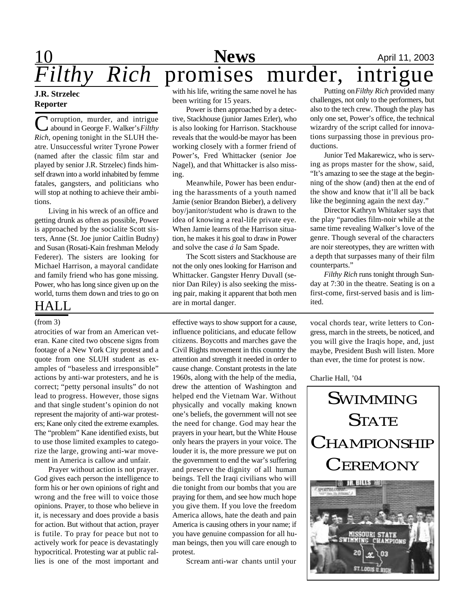# 10 **News** April 11, 2003 *Filthy Rich* promises murder, intrigue

## **J.R. Strzelec Reporter**

C orruption, murder, and intrigue abound in George F. Walker's *Filthy Rich*, opening tonight in the SLUH theatre. Unsuccessful writer Tyrone Power (named after the classic film star and played by senior J.R. Strzelec) finds himself drawn into a world inhabited by femme fatales, gangsters, and politicians who will stop at nothing to achieve their ambitions.

Living in his wreck of an office and getting drunk as often as possible, Power is approached by the socialite Scott sisters, Anne (St. Joe junior Caitlin Budny) and Susan (Rosati-Kain freshman Melody Federer). The sisters are looking for Michael Harrison, a mayoral candidate and family friend who has gone missing. Power, who has long since given up on the world, turns them down and tries to go on

# HALL

atrocities of war from an American veteran. Kane cited two obscene signs from footage of a New York City protest and a quote from one SLUH student as examples of "baseless and irresponsible" actions by anti-war protesters, and he is correct; "petty personal insults" do not lead to progress. However, those signs and that single student's opinion do not represent the majority of anti-war protesters; Kane only cited the extreme examples. The "problem" Kane identified exists, but to use those limited examples to categorize the large, growing anti-war movement in America is callow and unfair.

Prayer without action is not prayer. God gives each person the intelligence to form his or her own opinions of right and wrong and the free will to voice those opinions. Prayer, to those who believe in it, is necessary and does provide a basis for action. But without that action, prayer is futile. To pray for peace but not to actively work for peace is devastatingly hypocritical. Protesting war at public rallies is one of the most important and

with his life, writing the same novel he has been writing for 15 years.

Power is then approached by a detective, Stackhouse (junior James Erler), who is also looking for Harrison. Stackhouse reveals that the would-be mayor has been working closely with a former friend of Power's, Fred Whittacker (senior Joe Nagel), and that Whittacker is also missing.

Meanwhile, Power has been enduring the harassments of a youth named Jamie (senior Brandon Bieber), a delivery boy/janitor/student who is drawn to the idea of knowing a real-life private eye. When Jamie learns of the Harrison situation, he makes it his goal to draw in Power and solve the case *á la* Sam Spade.

The Scott sisters and Stackhouse are not the only ones looking for Harrison and Whittacker. Gangster Henry Duvall (senior Dan Riley) is also seeking the missing pair, making it apparent that both men are in mortal danger.

(from 3) effective ways to show support for a cause, influence politicians, and educate fellow citizens. Boycotts and marches gave the Civil Rights movement in this country the attention and strength it needed in order to cause change. Constant protests in the late 1960s, along with the help of the media, drew the attention of Washington and helped end the Vietnam War. Without physically and vocally making known one's beliefs, the government will not see the need for change. God may hear the prayers in your heart, but the White House only hears the prayers in your voice. The louder it is, the more pressure we put on the government to end the war's suffering and preserve the dignity of all human beings. Tell the Iraqi civilians who will die tonight from our bombs that you are praying for them, and see how much hope you give them. If you love the freedom America allows, hate the death and pain America is causing others in your name; if you have genuine compassion for all human beings, then you will care enough to protest.

Scream anti-war chants until your

Putting on *Filthy Rich* provided many challenges, not only to the performers, but also to the tech crew. Though the play has only one set, Power's office, the technical wizardry of the script called for innovations surpassing those in previous productions.

Junior Ted Makarewicz, who is serving as props master for the show, said, "It's amazing to see the stage at the beginning of the show (and) then at the end of the show and know that it'll all be back like the beginning again the next day."

Director Kathryn Whitaker says that the play "parodies film-noir while at the same time revealing Walker's love of the genre. Though several of the characters are noir stereotypes, they are written with a depth that surpasses many of their film counterparts."

*Filthy Rich* runs tonight through Sunday at 7:30 in the theatre. Seating is on a first-come, first-served basis and is limited.

vocal chords tear, write letters to Congress, march in the streets, be noticed, and you will give the Iraqis hope, and, just maybe, President Bush will listen. More than ever, the time for protest is now.

Charlie Hall, '04

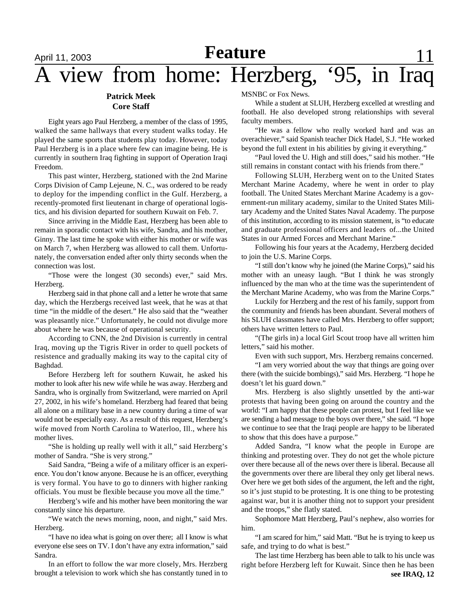# April 11, 2003 **Next Relative** 11 A view from home: Herzberg, '95, in Iraq **Feature**

## **Patrick Meek Core Staff**

Eight years ago Paul Herzberg, a member of the class of 1995, walked the same hallways that every student walks today. He played the same sports that students play today. However, today Paul Herzberg is in a place where few can imagine being. He is currently in southern Iraq fighting in support of Operation Iraqi Freedom.

This past winter, Herzberg, stationed with the 2nd Marine Corps Division of Camp Lejeune, N. C., was ordered to be ready to deploy for the impending conflict in the Gulf. Herzberg, a recently-promoted first lieutenant in charge of operational logistics, and his division departed for southern Kuwait on Feb. 7.

Since arriving in the Middle East, Herzberg has been able to remain in sporadic contact with his wife, Sandra, and his mother, Ginny. The last time he spoke with either his mother or wife was on March 7, when Herzberg was allowed to call them. Unfortunately, the conversation ended after only thirty seconds when the connection was lost.

"Those were the longest (30 seconds) ever," said Mrs. Herzberg.

Herzberg said in that phone call and a letter he wrote that same day, which the Herzbergs received last week, that he was at that time "in the middle of the desert." He also said that the "weather was pleasantly nice." Unfortunately, he could not divulge more about where he was because of operational security.

According to CNN, the 2nd Division is currently in central Iraq, moving up the Tigris River in order to quell pockets of resistence and gradually making its way to the capital city of Baghdad.

Before Herzberg left for southern Kuwait, he asked his mother to look after his new wife while he was away. Herzberg and Sandra, who is orginally from Switzerland, were married on April 27, 2002, in his wife's homeland. Herzberg had feared that being all alone on a military base in a new country during a time of war would not be especially easy. As a result of this request, Herzberg's wife moved from North Carolina to Waterloo, Ill., where his mother lives.

"She is holding up really well with it all," said Herzberg's mother of Sandra. "She is very strong."

Said Sandra, "Being a wife of a military officer is an experience. You don't know anyone. Because he is an officer, everything is very formal. You have to go to dinners with higher ranking officials. You must be flexible because you move all the time."

Herzberg's wife and his mother have been monitoring the war constantly since his departure.

"We watch the news morning, noon, and night," said Mrs. Herzberg.

"I have no idea what is going on over there; all I know is what everyone else sees on TV. I don't have any extra information," said Sandra.

In an effort to follow the war more closely, Mrs. Herzberg brought a television to work which she has constantly tuned in to

MSNBC or Fox News.

While a student at SLUH, Herzberg excelled at wrestling and football. He also developed strong relationships with several faculty members.

"He was a fellow who really worked hard and was an overachiever," said Spanish teacher Dick Hadel, S.J. "He worked beyond the full extent in his abilities by giving it everything."

"Paul loved the U. High and still does," said his mother. "He still remains in constant contact with his friends from there."

Following SLUH, Herzberg went on to the United States Merchant Marine Academy, where he went in order to play football. The United States Merchant Marine Academy is a government-run military academy, similar to the United States Military Academy and the United States Naval Academy. The purpose of this institution, according to its mission statement, is "to educate and graduate professional officers and leaders of...the United States in our Armed Forces and Merchant Marine."

Following his four years at the Academy, Herzberg decided to join the U.S. Marine Corps.

"I still don't know why he joined (the Marine Corps)," said his mother with an uneasy laugh. "But I think he was strongly influenced by the man who at the time was the superintendent of the Merchant Marine Academy, who was from the Marine Corps."

Luckily for Herzberg and the rest of his family, support from the community and friends has been abundant. Several mothers of his SLUH classmates have called Mrs. Herzberg to offer support; others have written letters to Paul.

"(The girls in) a local Girl Scout troop have all written him letters," said his mother.

Even with such support, Mrs. Herzberg remains concerned.

"I am very worried about the way that things are going over there (with the suicide bombings)," said Mrs. Herzberg. "I hope he doesn't let his guard down."

Mrs. Herzberg is also slightly unsettled by the anti-war protests that having been going on around the country and the world: "I am happy that these people can protest, but I feel like we are sending a bad message to the boys over there," she said. "I hope we continue to see that the Iraqi people are happy to be liberated to show that this does have a purpose."

Added Sandra, "I know what the people in Europe are thinking and protesting over. They do not get the whole picture over there because all of the news over there is liberal. Because all the governments over there are liberal they only get liberal news. Over here we get both sides of the argument, the left and the right, so it's just stupid to be protesting. It is one thing to be protesting against war, but it is another thing not to support your president and the troops," she flatly stated.

Sophomore Matt Herzberg, Paul's nephew, also worries for him.

"I am scared for him," said Matt. "But he is trying to keep us safe, and trying to do what is best."

The last time Herzberg has been able to talk to his uncle was right before Herzberg left for Kuwait. Since then he has been